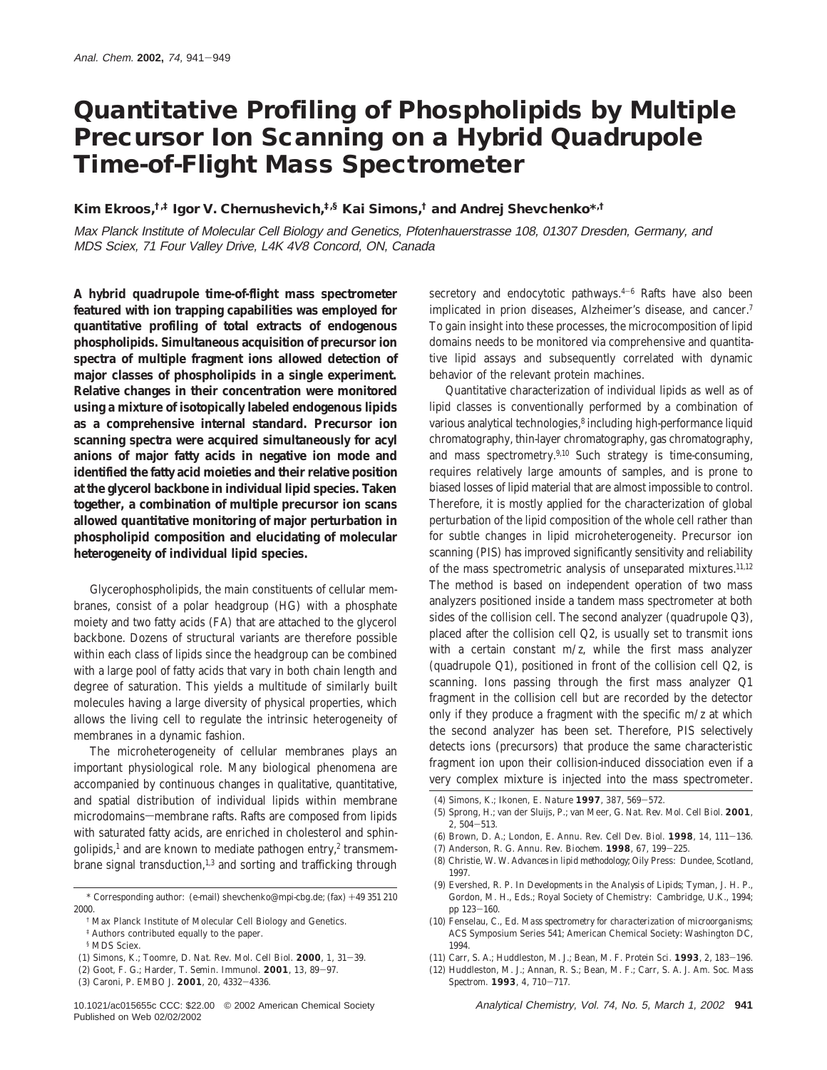# **Quantitative Profiling of Phospholipids by Multiple Precursor Ion Scanning on a Hybrid Quadrupole Time-of-Flight Mass Spectrometer**

**Kim Ekroos,†,‡ Igor V. Chernushevich,‡,§ Kai Simons,† and Andrej Shevchenko\*,†**

Max Planck Institute of Molecular Cell Biology and Genetics, Pfotenhauerstrasse 108, 01307 Dresden, Germany, and MDS Sciex, 71 Four Valley Drive, L4K 4V8 Concord, ON, Canada

**A hybrid quadrupole time-of-flight mass spectrometer featured with ion trapping capabilities was employed for quantitative profiling of total extracts of endogenous phospholipids. Simultaneous acquisition of precursor ion spectra of multiple fragment ions allowed detection of major classes of phospholipids in a single experiment. Relative changes in their concentration were monitored using a mixture of isotopically labeled endogenous lipids as a comprehensive internal standard. Precursor ion scanning spectra were acquired simultaneously for acyl anions of major fatty acids in negative ion mode and identified the fatty acid moieties and their relative position at the glycerol backbone in individual lipid species. Taken together, a combination of multiple precursor ion scans allowed quantitative monitoring of major perturbation in phospholipid composition and elucidating of molecular heterogeneity of individual lipid species.**

Glycerophospholipids, the main constituents of cellular membranes, consist of a polar headgroup (HG) with a phosphate moiety and two fatty acids (FA) that are attached to the glycerol backbone. Dozens of structural variants are therefore possible within each class of lipids since the headgroup can be combined with a large pool of fatty acids that vary in both chain length and degree of saturation. This yields a multitude of similarly built molecules having a large diversity of physical properties, which allows the living cell to regulate the intrinsic heterogeneity of membranes in a dynamic fashion.

The microheterogeneity of cellular membranes plays an important physiological role. Many biological phenomena are accompanied by continuous changes in qualitative, quantitative, and spatial distribution of individual lipids within membrane microdomains-membrane rafts. Rafts are composed from lipids with saturated fatty acids, are enriched in cholesterol and sphingolipids, $1$  and are known to mediate pathogen entry, $2$  transmembrane signal transduction,<sup>1,3</sup> and sorting and trafficking through secretory and endocytotic pathways.<sup>4-6</sup> Rafts have also been implicated in prion diseases, Alzheimer's disease, and cancer.7 To gain insight into these processes, the microcomposition of lipid domains needs to be monitored via comprehensive and quantitative lipid assays and subsequently correlated with dynamic behavior of the relevant protein machines.

Quantitative characterization of individual lipids as well as of lipid classes is conventionally performed by a combination of various analytical technologies,<sup>8</sup> including high-performance liquid chromatography, thin-layer chromatography, gas chromatography, and mass spectrometry. $9,10$  Such strategy is time-consuming, requires relatively large amounts of samples, and is prone to biased losses of lipid material that are almost impossible to control. Therefore, it is mostly applied for the characterization of global perturbation of the lipid composition of the whole cell rather than for subtle changes in lipid microheterogeneity. Precursor ion scanning (PIS) has improved significantly sensitivity and reliability of the mass spectrometric analysis of unseparated mixtures.<sup>11,12</sup> The method is based on independent operation of two mass analyzers positioned inside a tandem mass spectrometer at both sides of the collision cell. The second analyzer (quadrupole Q3), placed after the collision cell Q2, is usually set to transmit ions with a certain constant *m*/*z*, while the first mass analyzer (quadrupole Q1), positioned in front of the collision cell Q2, is scanning. Ions passing through the first mass analyzer Q1 fragment in the collision cell but are recorded by the detector only if they produce a fragment with the specific *m*/*z* at which the second analyzer has been set. Therefore, PIS selectively detects ions (precursors) that produce the same characteristic fragment ion upon their collision-induced dissociation even if a very complex mixture is injected into the mass spectrometer.

- (4) Simons, K.; Ikonen, E. *Nature* **<sup>1997</sup>**, *<sup>387</sup>*, 569-572.
- (5) Sprong, H.; van der Sluijs, P.; van Meer, G. *Nat. Rev. Mol. Cell Biol.* **2001**, *<sup>2</sup>*, 504-513.
- (6) Brown, D. A.; London, E. *Annu. Rev. Cell Dev. Biol.* **<sup>1998</sup>**, *<sup>14</sup>*, 111-136.
- (7) Anderson, R. G. *Annu. Rev. Biochem.* **<sup>1998</sup>**, *<sup>67</sup>*, 199-225.
- (8) Christie, W. W. *Advances in lipid methodology*; Oily Press: Dundee, Scotland, 1997.
- (9) Evershed, R. P. In *Developments in the Analysis of Lipids*; Tyman, J. H. P., Gordon, M. H., Eds.; Royal Society of Chemistry: Cambridge, U.K., 1994; pp 123-160.
- (10) Fenselau, C., Ed. *Mass spectrometry for characterization of microorganisms*; ACS Symposium Series 541; American Chemical Society: Washington DC, 1994.
- (11) Carr, S. A.; Huddleston, M. J.; Bean, M. F. *Protein Sci.* **<sup>1993</sup>**, *<sup>2</sup>*, 183-196.
- (12) Huddleston, M. J.; Annan, R. S.; Bean, M. F.; Carr, S. A. *J. Am. Soc. Mass Spectrom.* **<sup>1993</sup>**, *<sup>4</sup>*, 710-717.

10.1021/ac015655c CCC: \$22.00 © 2002 American Chemical Society Analytical Chemistry, Vol. 74, No. 5, March 1, 2002 **941**

<sup>\*</sup> Corresponding author: (e-mail) shevchenko@mpi-cbg.de; (fax) +49 351 210 2000.

<sup>†</sup> Max Planck Institute of Molecular Cell Biology and Genetics.

<sup>‡</sup> Authors contributed equally to the paper.

<sup>§</sup> MDS Sciex.

<sup>(1)</sup> Simons, K.; Toomre, D. *Nat. Rev. Mol. Cell Biol.* **<sup>2000</sup>**, *<sup>1</sup>*, 31-39.

<sup>(2)</sup> Goot, F. G.; Harder, T. *Semin. Immunol.* **<sup>2001</sup>**, *<sup>13</sup>*, 89-97.

<sup>(3)</sup> Caroni, P. *EMBO J.* **<sup>2001</sup>**, *<sup>20</sup>*, 4332-4336.

Published on Web 02/02/2002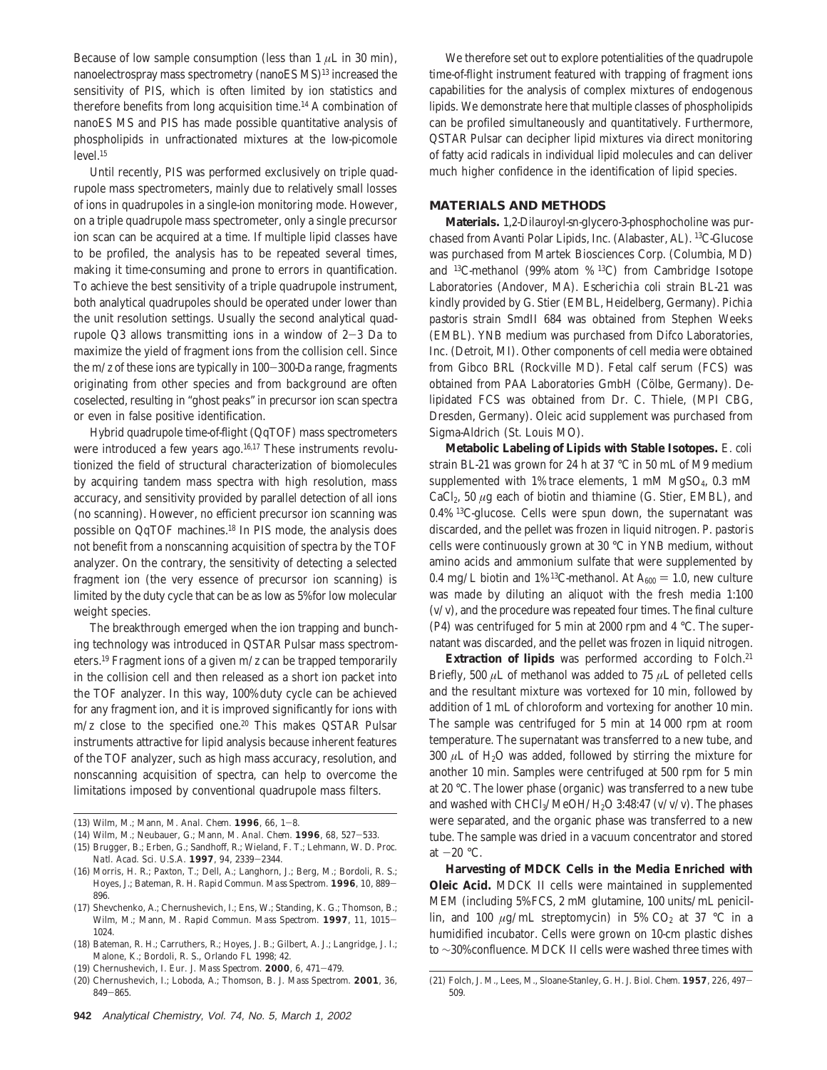Because of low sample consumption (less than  $1 \mu$ L in 30 min), nanoelectrospray mass spectrometry (nanoES MS)<sup>13</sup> increased the sensitivity of PIS, which is often limited by ion statistics and therefore benefits from long acquisition time.14 A combination of nanoES MS and PIS has made possible quantitative analysis of phospholipids in unfractionated mixtures at the low-picomole level.15

Until recently, PIS was performed exclusively on triple quadrupole mass spectrometers, mainly due to relatively small losses of ions in quadrupoles in a single-ion monitoring mode. However, on a triple quadrupole mass spectrometer, only a single precursor ion scan can be acquired at a time. If multiple lipid classes have to be profiled, the analysis has to be repeated several times, making it time-consuming and prone to errors in quantification. To achieve the best sensitivity of a triple quadrupole instrument, both analytical quadrupoles should be operated under lower than the unit resolution settings. Usually the second analytical quadrupole Q3 allows transmitting ions in a window of 2-3 Da to maximize the yield of fragment ions from the collision cell. Since the *<sup>m</sup>*/*<sup>z</sup>* of these ions are typically in 100-300-Da range, fragments originating from other species and from background are often coselected, resulting in "ghost peaks" in precursor ion scan spectra or even in false positive identification.

Hybrid quadrupole time-of-flight (QqTOF) mass spectrometers were introduced a few years ago.<sup>16,17</sup> These instruments revolutionized the field of structural characterization of biomolecules by acquiring tandem mass spectra with high resolution, mass accuracy, and sensitivity provided by parallel detection of all ions (no scanning). However, no efficient precursor ion scanning was possible on QqTOF machines.18 In PIS mode, the analysis does not benefit from a nonscanning acquisition of spectra by the TOF analyzer. On the contrary, the sensitivity of detecting a selected fragment ion (the very essence of precursor ion scanning) is limited by the duty cycle that can be as low as 5% for low molecular weight species.

The breakthrough emerged when the ion trapping and bunching technology was introduced in QSTAR Pulsar mass spectrometers.19 Fragment ions of a given *m*/*z* can be trapped temporarily in the collision cell and then released as a short ion packet into the TOF analyzer. In this way, 100% duty cycle can be achieved for any fragment ion, and it is improved significantly for ions with *m*/*z* close to the specified one.20 This makes QSTAR Pulsar instruments attractive for lipid analysis because inherent features of the TOF analyzer, such as high mass accuracy, resolution, and nonscanning acquisition of spectra, can help to overcome the limitations imposed by conventional quadrupole mass filters.

- (17) Shevchenko, A.; Chernushevich, I.; Ens, W.; Standing, K. G.; Thomson, B.; Wilm, M.; Mann, M. *Rapid Commun. Mass Spectrom.* **<sup>1997</sup>**, *<sup>11</sup>*, 1015- 1024.
- (18) Bateman, R. H.; Carruthers, R.; Hoyes, J. B.; Gilbert, A. J.; Langridge, J. I.; Malone, K.; Bordoli, R. S., Orlando FL 1998; 42.
- (19) Chernushevich, I. *Eur. J. Mass Spectrom.* **<sup>2000</sup>**, *<sup>6</sup>*, 471-479.
- (20) Chernushevich, I.; Loboda, A.; Thomson, B. *J. Mass Spectrom.* **2001**, *36*, <sup>849</sup>-865.

We therefore set out to explore potentialities of the quadrupole time-of-flight instrument featured with trapping of fragment ions capabilities for the analysis of complex mixtures of endogenous lipids. We demonstrate here that multiple classes of phospholipids can be profiled simultaneously and quantitatively. Furthermore, QSTAR Pulsar can decipher lipid mixtures via direct monitoring of fatty acid radicals in individual lipid molecules and can deliver much higher confidence in the identification of lipid species.

#### **MATERIALS AND METHODS**

**Materials.** 1,2-Dilauroyl-*sn*-glycero-3-phosphocholine was purchased from Avanti Polar Lipids, Inc. (Alabaster, AL). 13C-Glucose was purchased from Martek Biosciences Corp. (Columbia, MD) and  $^{13}$ C-methanol (99% atom %  $^{13}$ C) from Cambridge Isotope Laboratories (Andover, MA). *Escherichia coli* strain BL-21 was kindly provided by G. Stier (EMBL, Heidelberg, Germany). *Pichia pastoris* strain SmdII 684 was obtained from Stephen Weeks (EMBL). YNB medium was purchased from Difco Laboratories, Inc. (Detroit, MI). Other components of cell media were obtained from Gibco BRL (Rockville MD). Fetal calf serum (FCS) was obtained from PAA Laboratories GmbH (Cölbe, Germany). Delipidated FCS was obtained from Dr. C. Thiele, (MPI CBG, Dresden, Germany). Oleic acid supplement was purchased from Sigma-Aldrich (St. Louis MO).

**Metabolic Labeling of Lipids with Stable Isotopes.** *E. coli* strain BL-21 was grown for 24 h at 37 °C in 50 mL of M9 medium supplemented with 1% trace elements, 1 mM MgSO4, 0.3 mM CaCl2, 50 *µ*g each of biotin and thiamine (G. Stier, EMBL), and 0.4% 13C-glucose. Cells were spun down, the supernatant was discarded, and the pellet was frozen in liquid nitrogen. *P. pastoris* cells were continuously grown at 30 °C in YNB medium, without amino acids and ammonium sulfate that were supplemented by 0.4 mg/L biotin and 1% <sup>13</sup>C-methanol. At  $A_{600} = 1.0$ , new culture was made by diluting an aliquot with the fresh media 1:100 (v/v), and the procedure was repeated four times. The final culture (P4) was centrifuged for 5 min at 2000 rpm and  $4^{\circ}$ C. The supernatant was discarded, and the pellet was frozen in liquid nitrogen.

**Extraction of lipids** was performed according to Folch.<sup>21</sup> Briefly, 500 *µ*L of methanol was added to 75 *µ*L of pelleted cells and the resultant mixture was vortexed for 10 min, followed by addition of 1 mL of chloroform and vortexing for another 10 min. The sample was centrifuged for 5 min at 14 000 rpm at room temperature. The supernatant was transferred to a new tube, and  $300 \mu L$  of H<sub>2</sub>O was added, followed by stirring the mixture for another 10 min. Samples were centrifuged at 500 rpm for 5 min at 20 °C. The lower phase (organic) was transferred to a new tube and washed with  $CHCl<sub>3</sub>/MeOH/H<sub>2</sub>O$  3:48:47 (v/v/v). The phases were separated, and the organic phase was transferred to a new tube. The sample was dried in a vacuum concentrator and stored at  $-20$  °C.

**Harvesting of MDCK Cells in the Media Enriched with Oleic Acid.** MDCK II cells were maintained in supplemented MEM (including 5% FCS, 2 mM glutamine, 100 units/mL penicillin, and 100  $\mu$ g/mL streptomycin) in 5% CO<sub>2</sub> at 37 °C in a humidified incubator. Cells were grown on 10-cm plastic dishes to ∼30% confluence. MDCK II cells were washed three times with

<sup>(13)</sup> Wilm, M.; Mann, M. *Anal. Chem.* **<sup>1996</sup>**, *<sup>66</sup>*, 1-8.

<sup>(14)</sup> Wilm, M.; Neubauer, G.; Mann, M. *Anal. Chem.* **<sup>1996</sup>**, *<sup>68</sup>*, 527-533.

<sup>(15)</sup> Brugger, B.; Erben, G.; Sandhoff, R.; Wieland, F. T.; Lehmann, W. D. *Proc. Natl. Acad. Sci. U.S.A.* **<sup>1997</sup>**, *<sup>94</sup>*, 2339-2344.

<sup>(16)</sup> Morris, H. R.; Paxton, T.; Dell, A.; Langhorn, J.; Berg, M.; Bordoli, R. S.; Hoyes, J.; Bateman, R. H. *Rapid Commun. Mass Spectrom.* **<sup>1996</sup>**, *<sup>10</sup>*, 889- 896.

<sup>(21)</sup> Folch, J. M., Lees, M., Sloane-Stanley, G. H. *J. Biol. Chem.* **<sup>1957</sup>**, *<sup>226</sup>*, 497- 509.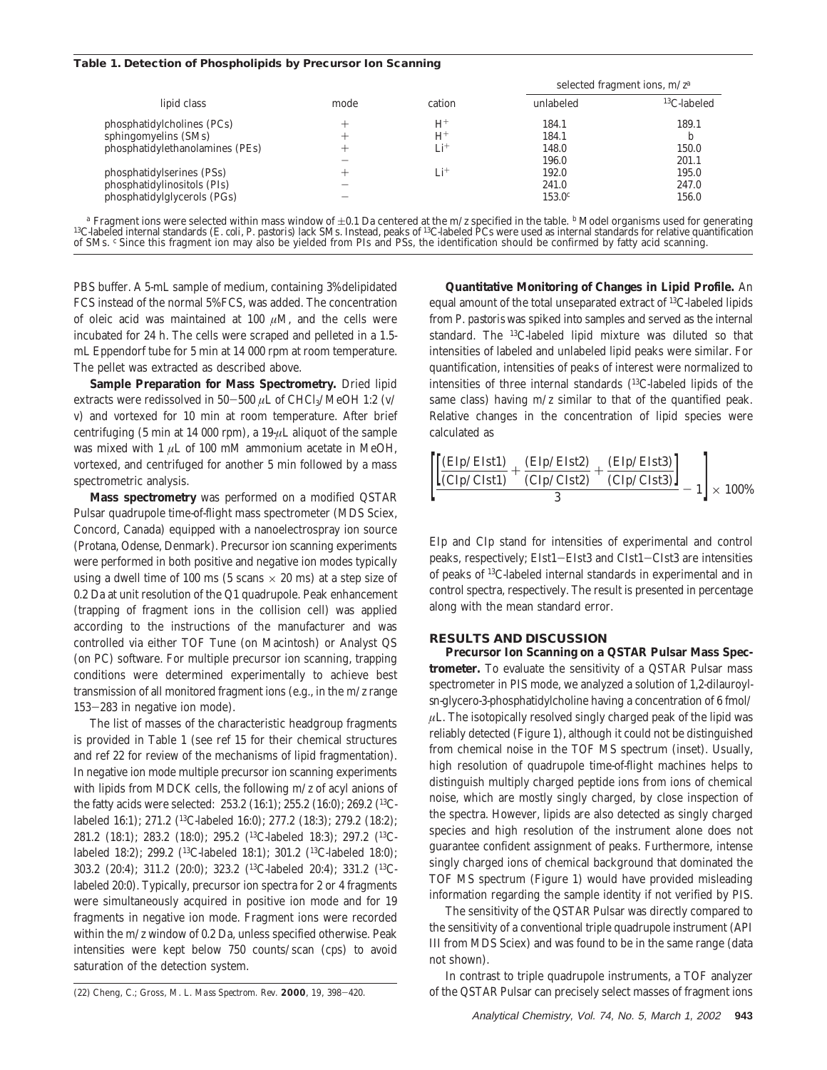#### **Table 1. Detection of Phospholipids by Precursor Ion Scanning**

| mode | cation    | selected fragment ions, $m/z^a$ |                |
|------|-----------|---------------------------------|----------------|
|      |           | unlabeled                       | $13C$ -labeled |
|      | $\rm H^+$ | 184.1                           | 189.1          |
|      | $H^+$     | 184.1                           | b              |
|      | $Li+$     | 148.0                           | 150.0          |
|      |           | 196.0                           | 201.1          |
|      | $Li^+$    | 192.0                           | 195.0          |
|      |           | 241.0                           | 247.0          |
|      |           | $153.0^{c}$                     | 156.0          |
|      |           |                                 |                |

<sup>a</sup> Fragment ions were selected within mass window of  $\pm 0.1$  Da centered at the *m/z* specified in the table. <sup>b</sup> Model organisms used for generating 13C-labeled internal standards (*E. coli, P. pastoris*) lack SMs. Ins of SMs. *<sup>c</sup>* Since this fragment ion may also be yielded from PIs and PSs, the identification should be confirmed by fatty acid scanning.

PBS buffer. A 5-mL sample of medium, containing 3% delipidated FCS instead of the normal 5% FCS, was added. The concentration of oleic acid was maintained at 100  $\mu$ M, and the cells were incubated for 24 h. The cells were scraped and pelleted in a 1.5 mL Eppendorf tube for 5 min at 14 000 rpm at room temperature. The pellet was extracted as described above.

**Sample Preparation for Mass Spectrometry.** Dried lipid extracts were redissolved in 50-500  $\mu$ L of CHCl<sub>3</sub>/MeOH 1:2 (v/ v) and vortexed for 10 min at room temperature. After brief centrifuging (5 min at 14 000 rpm), a  $19\mu$ L aliquot of the sample was mixed with 1 *µ*L of 100 mM ammonium acetate in MeOH, vortexed, and centrifuged for another 5 min followed by a mass spectrometric analysis.

**Mass spectrometry** was performed on a modified QSTAR Pulsar quadrupole time-of-flight mass spectrometer (MDS Sciex, Concord, Canada) equipped with a nanoelectrospray ion source (Protana, Odense, Denmark). Precursor ion scanning experiments were performed in both positive and negative ion modes typically using a dwell time of 100 ms (5 scans  $\times$  20 ms) at a step size of 0.2 Da at unit resolution of the Q1 quadrupole. Peak enhancement (trapping of fragment ions in the collision cell) was applied according to the instructions of the manufacturer and was controlled via either TOF Tune (on Macintosh) or Analyst QS (on PC) software. For multiple precursor ion scanning, trapping conditions were determined experimentally to achieve best transmission of all monitored fragment ions (e.g., in the *m*/*z* range <sup>153</sup>-283 in negative ion mode).

The list of masses of the characteristic headgroup fragments is provided in Table 1 (see ref 15 for their chemical structures and ref 22 for review of the mechanisms of lipid fragmentation). In negative ion mode multiple precursor ion scanning experiments with lipids from MDCK cells, the following *m*/*z* of acyl anions of the fatty acids were selected: 253.2 (16:1); 255.2 (16:0); 269.2 (13Clabeled 16:1); 271.2 (13C-labeled 16:0); 277.2 (18:3); 279.2 (18:2); 281.2 (18:1); 283.2 (18:0); 295.2 (13C-labeled 18:3); 297.2 (13Clabeled 18:2); 299.2 (13C-labeled 18:1); 301.2 (13C-labeled 18:0); 303.2 (20:4); 311.2 (20:0); 323.2 (13C-labeled 20:4); 331.2 (13Clabeled 20:0). Typically, precursor ion spectra for 2 or 4 fragments were simultaneously acquired in positive ion mode and for 19 fragments in negative ion mode. Fragment ions were recorded within the *m*/*z* window of 0.2 Da, unless specified otherwise. Peak intensities were kept below 750 counts/scan (cps) to avoid saturation of the detection system.

**Quantitative Monitoring of Changes in Lipid Profile.** An equal amount of the total unseparated extract of 13C-labeled lipids from *P. pastoris* was spiked into samples and served as the internal standard. The 13C-labeled lipid mixture was diluted so that intensities of labeled and unlabeled lipid peaks were similar. For quantification, intensities of peaks of interest were normalized to intensities of three internal standards (13C-labeled lipids of the same class) having *m*/*z* similar to that of the quantified peak. Relative changes in the concentration of lipid species were calculated as

$$
\left[\frac{\left[\frac{\text{[E]p/EIst1]}}{\text{(CIp/CIst1)}} + \frac{\text{(EIp/EIst2)}}{\text{(CIp/CIst2)}} + \frac{\text{(EIp/EIst3)}}{\text{(CIp/CIst3)}}\right]}{3} - 1\right] \times 100\%
$$

EIp and CIp stand for intensities of experimental and control peaks, respectively; EIst1-EIst3 and CIst1-CIst3 are intensities of peaks of 13C-labeled internal standards in experimental and in control spectra, respectively. The result is presented in percentage along with the mean standard error.

## **RESULTS AND DISCUSSION**

**Precursor Ion Scanning on a QSTAR Pulsar Mass Spectrometer.** To evaluate the sensitivity of a QSTAR Pulsar mass spectrometer in PIS mode, we analyzed a solution of 1,2-dilauroyl*sn*-glycero-3-phosphatidylcholine having a concentration of 6 fmol/  $\mu$ L. The isotopically resolved singly charged peak of the lipid was reliably detected (Figure 1), although it could not be distinguished from chemical noise in the TOF MS spectrum (inset). Usually, high resolution of quadrupole time-of-flight machines helps to distinguish multiply charged peptide ions from ions of chemical noise, which are mostly singly charged, by close inspection of the spectra. However, lipids are also detected as singly charged species and high resolution of the instrument alone does not guarantee confident assignment of peaks. Furthermore, intense singly charged ions of chemical background that dominated the TOF MS spectrum (Figure 1) would have provided misleading information regarding the sample identity if not verified by PIS.

The sensitivity of the QSTAR Pulsar was directly compared to the sensitivity of a conventional triple quadrupole instrument (API III from MDS Sciex) and was found to be in the same range (data not shown).

In contrast to triple quadrupole instruments, a TOF analyzer (22) Cheng, C.; Gross, M. L. *Mass Spectrom. Rev.* **<sup>2000</sup>**, *<sup>19</sup>*, 398-420. of the QSTAR Pulsar can precisely select masses of fragment ions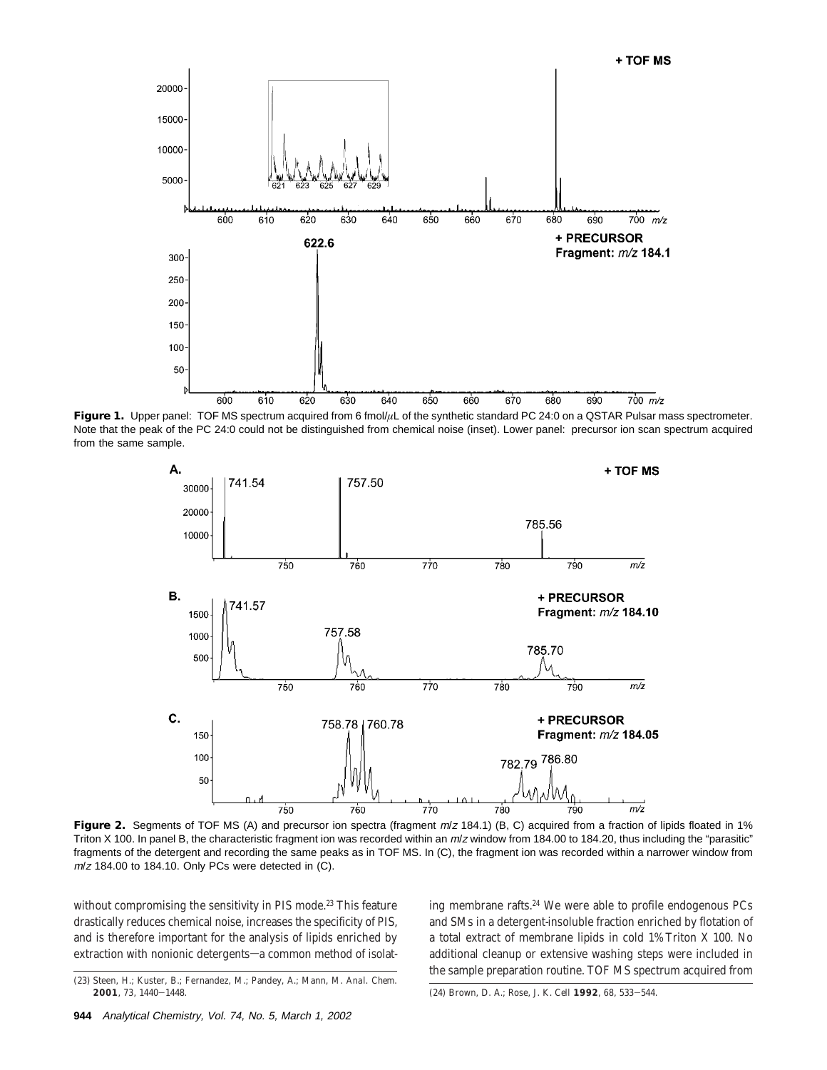

Figure 1. Upper panel: TOF MS spectrum acquired from 6 fmol/µL of the synthetic standard PC 24:0 on a QSTAR Pulsar mass spectrometer. Note that the peak of the PC 24:0 could not be distinguished from chemical noise (inset). Lower panel: precursor ion scan spectrum acquired from the same sample.



Figure 2. Segments of TOF MS (A) and precursor ion spectra (fragment  $m/z$  184.1) (B, C) acquired from a fraction of lipids floated in 1% Triton X 100. In panel B, the characteristic fragment ion was recorded within an  $m/z$  window from 184.00 to 184.20, thus including the "parasitic" fragments of the detergent and recording the same peaks as in TOF MS. In (C), the fragment ion was recorded within a narrower window from  $m/z$  184.00 to 184.10. Only PCs were detected in (C).

without compromising the sensitivity in PIS mode.<sup>23</sup> This feature drastically reduces chemical noise, increases the specificity of PIS, and is therefore important for the analysis of lipids enriched by extraction with nonionic detergents-a common method of isolat-

ing membrane rafts.24 We were able to profile endogenous PCs and SMs in a detergent-insoluble fraction enriched by flotation of a total extract of membrane lipids in cold 1% Triton X 100. No additional cleanup or extensive washing steps were included in the sample preparation routine. TOF MS spectrum acquired from (23) Steen, H.; Kuster, B.; Fernandez, M.; Pandey, A.; Mann, M. *Anal. Chem.*

**<sup>2001</sup>**, *<sup>73</sup>*, 1440-1448. (24) Brown, D. A.; Rose, J. K. *Cell* **<sup>1992</sup>**, *<sup>68</sup>*, 533-544.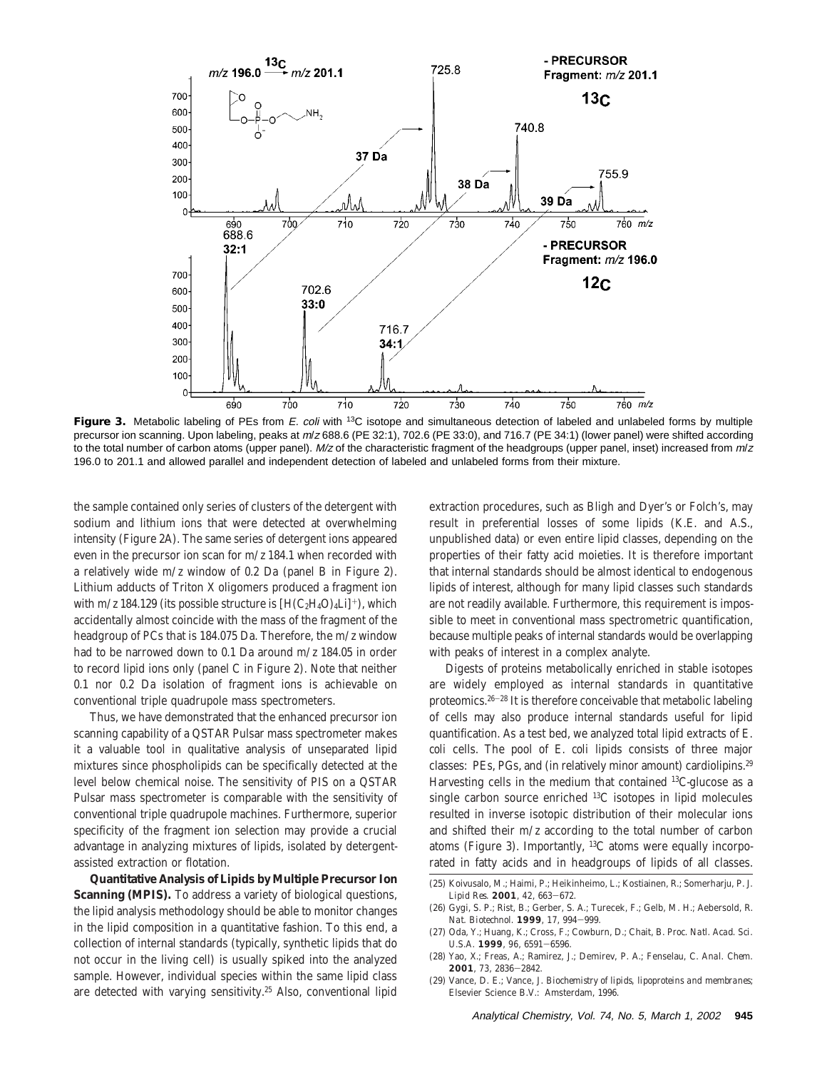

Figure 3. Metabolic labeling of PEs from E. coli with <sup>13</sup>C isotope and simultaneous detection of labeled and unlabeled forms by multiple precursor ion scanning. Upon labeling, peaks at <sup>m</sup>/<sup>z</sup> 688.6 (PE 32:1), 702.6 (PE 33:0), and 716.7 (PE 34:1) (lower panel) were shifted according to the total number of carbon atoms (upper panel). M/z of the characteristic fragment of the headgroups (upper panel, inset) increased from  $m/z$ 196.0 to 201.1 and allowed parallel and independent detection of labeled and unlabeled forms from their mixture.

the sample contained only series of clusters of the detergent with sodium and lithium ions that were detected at overwhelming intensity (Figure 2A). The same series of detergent ions appeared even in the precursor ion scan for *m*/*z* 184.1 when recorded with a relatively wide *m*/*z* window of 0.2 Da (panel B in Figure 2). Lithium adducts of Triton X oligomers produced a fragment ion with  $m/z$  184.129 (its possible structure is  $[H(C_2H_4O)_4Li]^+$ ), which accidentally almost coincide with the mass of the fragment of the headgroup of PCs that is 184.075 Da. Therefore, the *m*/*z* window had to be narrowed down to 0.1 Da around *m*/*z* 184.05 in order to record lipid ions only (panel C in Figure 2). Note that neither 0.1 nor 0.2 Da isolation of fragment ions is achievable on conventional triple quadrupole mass spectrometers.

Thus, we have demonstrated that the enhanced precursor ion scanning capability of a QSTAR Pulsar mass spectrometer makes it a valuable tool in qualitative analysis of unseparated lipid mixtures since phospholipids can be specifically detected at the level below chemical noise. The sensitivity of PIS on a QSTAR Pulsar mass spectrometer is comparable with the sensitivity of conventional triple quadrupole machines. Furthermore, superior specificity of the fragment ion selection may provide a crucial advantage in analyzing mixtures of lipids, isolated by detergentassisted extraction or flotation.

**Quantitative Analysis of Lipids by Multiple Precursor Ion Scanning (MPIS).** To address a variety of biological questions, the lipid analysis methodology should be able to monitor changes in the lipid composition in a quantitative fashion. To this end, a collection of internal standards (typically, synthetic lipids that do not occur in the living cell) is usually spiked into the analyzed sample. However, individual species within the same lipid class are detected with varying sensitivity.<sup>25</sup> Also, conventional lipid

extraction procedures, such as Bligh and Dyer's or Folch's, may result in preferential losses of some lipids (K.E. and A.S., unpublished data) or even entire lipid classes, depending on the properties of their fatty acid moieties. It is therefore important that internal standards should be almost identical to endogenous lipids of interest, although for many lipid classes such standards are not readily available. Furthermore, this requirement is impossible to meet in conventional mass spectrometric quantification, because multiple peaks of internal standards would be overlapping with peaks of interest in a complex analyte.

Digests of proteins metabolically enriched in stable isotopes are widely employed as internal standards in quantitative proteomics.26-<sup>28</sup> It is therefore conceivable that metabolic labeling of cells may also produce internal standards useful for lipid quantification. As a test bed, we analyzed total lipid extracts of *E. coli* cells. The pool of *E. coli* lipids consists of three major classes: PEs, PGs, and (in relatively minor amount) cardiolipins.<sup>29</sup> Harvesting cells in the medium that contained <sup>13</sup>C-glucose as a single carbon source enriched 13C isotopes in lipid molecules resulted in inverse isotopic distribution of their molecular ions and shifted their *m*/*z* according to the total number of carbon atoms (Figure 3). Importantly, 13C atoms were equally incorporated in fatty acids and in headgroups of lipids of all classes.

- (28) Yao, X.; Freas, A.; Ramirez, J.; Demirev, P. A.; Fenselau, C. *Anal. Chem.* **<sup>2001</sup>**, *<sup>73</sup>*, 2836-2842.
- (29) Vance, D. E.; Vance, J. *Biochemistry of lipids, lipoproteins and membranes*; Elsevier Science B.V.: Amsterdam, 1996.

<sup>(25)</sup> Koivusalo, M.; Haimi, P.; Heikinheimo, L.; Kostiainen, R.; Somerharju, P. *J. Lipid Res.* **<sup>2001</sup>**, *<sup>42</sup>*, 663-672.

<sup>(26)</sup> Gygi, S. P.; Rist, B.; Gerber, S. A.; Turecek, F.; Gelb, M. H.; Aebersold, R. *Nat. Biotechnol.* **<sup>1999</sup>**, *<sup>17</sup>*, 994-999.

<sup>(27)</sup> Oda, Y.; Huang, K.; Cross, F.; Cowburn, D.; Chait, B. *Proc. Natl. Acad. Sci. U.S.A.* **<sup>1999</sup>**, *<sup>96</sup>*, 6591-6596.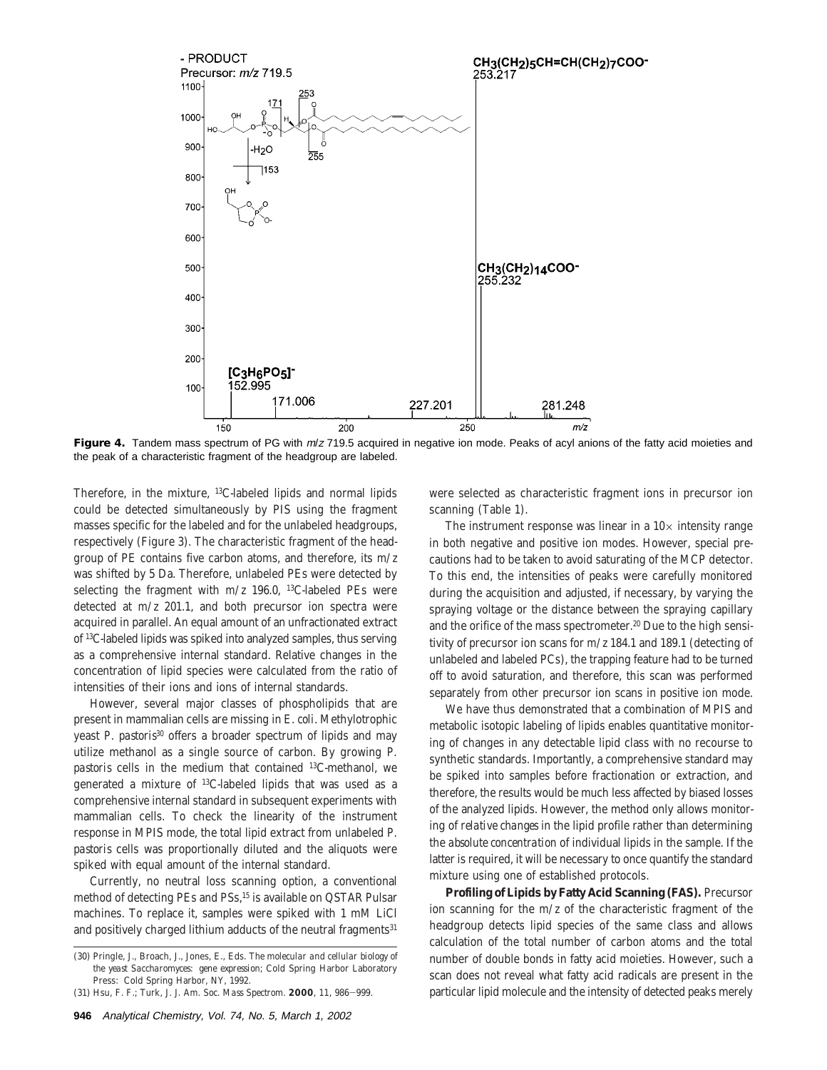

Figure 4. Tandem mass spectrum of PG with  $m/z$  719.5 acquired in negative ion mode. Peaks of acyl anions of the fatty acid moieties and the peak of a characteristic fragment of the headgroup are labeled.

Therefore, in the mixture, 13C-labeled lipids and normal lipids could be detected simultaneously by PIS using the fragment masses specific for the labeled and for the unlabeled headgroups, respectively (Figure 3). The characteristic fragment of the headgroup of PE contains five carbon atoms, and therefore, its *m*/*z* was shifted by 5 Da. Therefore, unlabeled PEs were detected by selecting the fragment with  $m/z$  196.0, <sup>13</sup>C-labeled PEs were detected at *m*/*z* 201.1, and both precursor ion spectra were acquired in parallel. An equal amount of an unfractionated extract of 13C-labeled lipids was spiked into analyzed samples, thus serving as a comprehensive internal standard. Relative changes in the concentration of lipid species were calculated from the ratio of intensities of their ions and ions of internal standards.

However, several major classes of phospholipids that are present in mammalian cells are missing in *E. coli*. Methylotrophic yeast *P. pastoris*<sup>30</sup> offers a broader spectrum of lipids and may utilize methanol as a single source of carbon. By growing *P. pastoris* cells in the medium that contained 13C-methanol, we generated a mixture of 13C-labeled lipids that was used as a comprehensive internal standard in subsequent experiments with mammalian cells. To check the linearity of the instrument response in MPIS mode, the total lipid extract from unlabeled *P. pastoris* cells was proportionally diluted and the aliquots were spiked with equal amount of the internal standard.

Currently, no neutral loss scanning option, a conventional method of detecting PEs and PSs,<sup>15</sup> is available on QSTAR Pulsar machines. To replace it, samples were spiked with 1 mM LiCl and positively charged lithium adducts of the neutral fragments<sup>31</sup> were selected as characteristic fragment ions in precursor ion scanning (Table 1).

The instrument response was linear in a  $10\times$  intensity range in both negative and positive ion modes. However, special precautions had to be taken to avoid saturating of the MCP detector. To this end, the intensities of peaks were carefully monitored during the acquisition and adjusted, if necessary, by varying the spraying voltage or the distance between the spraying capillary and the orifice of the mass spectrometer.<sup>20</sup> Due to the high sensitivity of precursor ion scans for *m*/*z* 184.1 and 189.1 (detecting of unlabeled and labeled PCs), the trapping feature had to be turned off to avoid saturation, and therefore, this scan was performed separately from other precursor ion scans in positive ion mode.

We have thus demonstrated that a combination of MPIS and metabolic isotopic labeling of lipids enables quantitative monitoring of changes in any detectable lipid class with no recourse to synthetic standards. Importantly, a comprehensive standard may be spiked into samples before fractionation or extraction, and therefore, the results would be much less affected by biased losses of the analyzed lipids. However, the method only allows monitoring of *relative changes* in the lipid profile rather than determining the *absolute concentration* of individual lipids in the sample. If the latter is required, it will be necessary to once quantify the standard mixture using one of established protocols.

**Profiling of Lipids by Fatty Acid Scanning (FAS).** Precursor ion scanning for the *m*/*z* of the characteristic fragment of the headgroup detects lipid species of the same class and allows calculation of the total number of carbon atoms and the total number of double bonds in fatty acid moieties. However, such a scan does not reveal what fatty acid radicals are present in the particular lipid molecule and the intensity of detected peaks merely

<sup>(30)</sup> Pringle, J., Broach, J., Jones, E., Eds. *The molecular and cellular biology of the yeast Saccharomyces: gene expression*; Cold Spring Harbor Laboratory Press: Cold Spring Harbor, NY, 1992.

<sup>(31)</sup> Hsu, F. F.; Turk, J. *J. Am. Soc. Mass Spectrom.* **<sup>2000</sup>**, *<sup>11</sup>*, 986-999.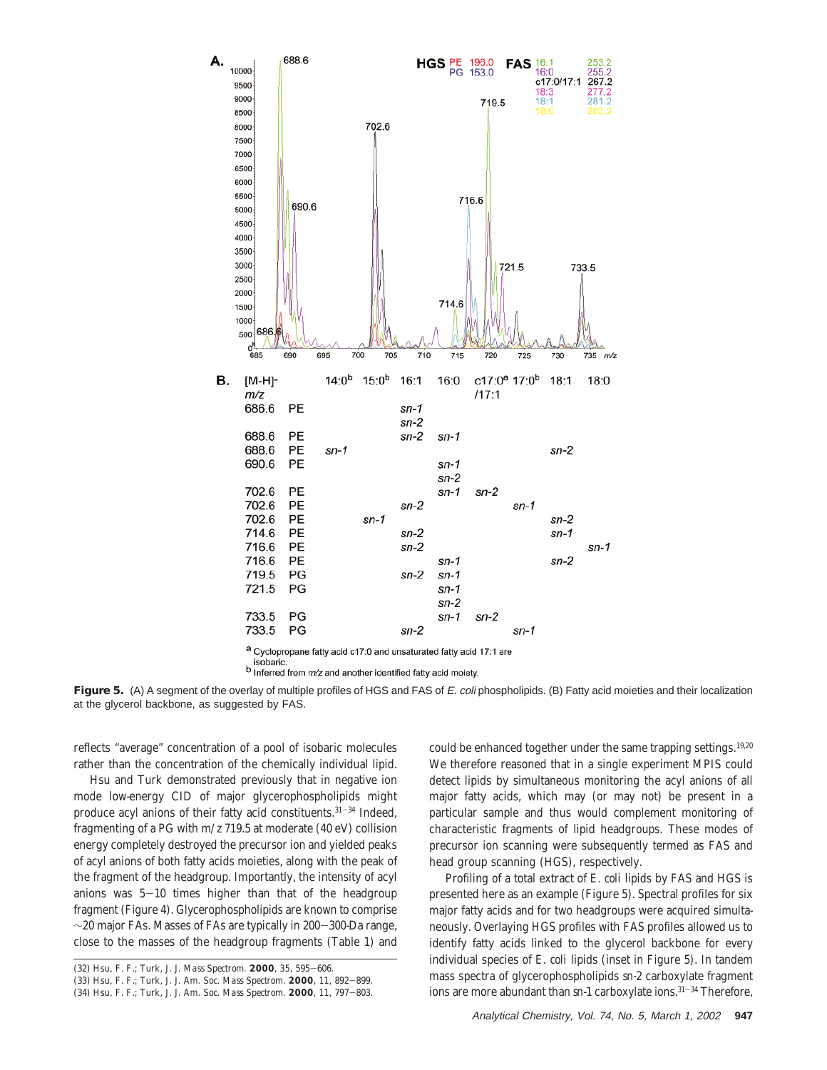

a Cyclopropane fatty acid c17:0 and unsaturated fatty acid 17:1 are isobaric.

b Inferred from  $m/z$  and another identified fatty acid moiety.

**Figure 5.** (A) A segment of the overlay of multiple profiles of HGS and FAS of E. coli phospholipids. (B) Fatty acid moieties and their localization at the glycerol backbone, as suggested by FAS.

reflects "average" concentration of a pool of isobaric molecules rather than the concentration of the chemically individual lipid.

Hsu and Turk demonstrated previously that in negative ion mode low-energy CID of major glycerophospholipids might produce acyl anions of their fatty acid constituents.31-<sup>34</sup> Indeed, fragmenting of a PG with *m*/*z* 719.5 at moderate (40 eV) collision energy completely destroyed the precursor ion and yielded peaks of acyl anions of both fatty acids moieties, along with the peak of the fragment of the headgroup. Importantly, the intensity of acyl anions was 5-10 times higher than that of the headgroup fragment (Figure 4). Glycerophospholipids are known to comprise <sup>∼</sup>20 major FAs. Masses of FAs are typically in 200-300-Da range, close to the masses of the headgroup fragments (Table 1) and

We therefore reasoned that in a single experiment MPIS could detect lipids by simultaneous monitoring the acyl anions of all major fatty acids, which may (or may not) be present in a particular sample and thus would complement monitoring of characteristic fragments of lipid headgroups. These modes of precursor ion scanning were subsequently termed as FAS and head group scanning (HGS), respectively.

could be enhanced together under the same trapping settings. $19,20$ 

Profiling of a total extract of *E. coli* lipids by FAS and HGS is presented here as an example (Figure 5). Spectral profiles for six major fatty acids and for two headgroups were acquired simultaneously. Overlaying HGS profiles with FAS profiles allowed us to identify fatty acids linked to the glycerol backbone for every individual species of *E. coli* lipids (inset in Figure 5). In tandem mass spectra of glycerophospholipids *sn*-2 carboxylate fragment ions are more abundant than *sn*-1 carboxylate ions.<sup>31-34</sup> Therefore,

<sup>(32)</sup> Hsu, F. F.; Turk, J. *J. Mass Spectrom.* **<sup>2000</sup>**, *<sup>35</sup>*, 595-606.

<sup>(33)</sup> Hsu, F. F.; Turk, J. *J. Am. Soc. Mass Spectrom.* **<sup>2000</sup>**, *<sup>11</sup>*, 892-899. (34) Hsu, F. F.; Turk, J. *J. Am. Soc. Mass Spectrom.* **<sup>2000</sup>**, *<sup>11</sup>*, 797-803.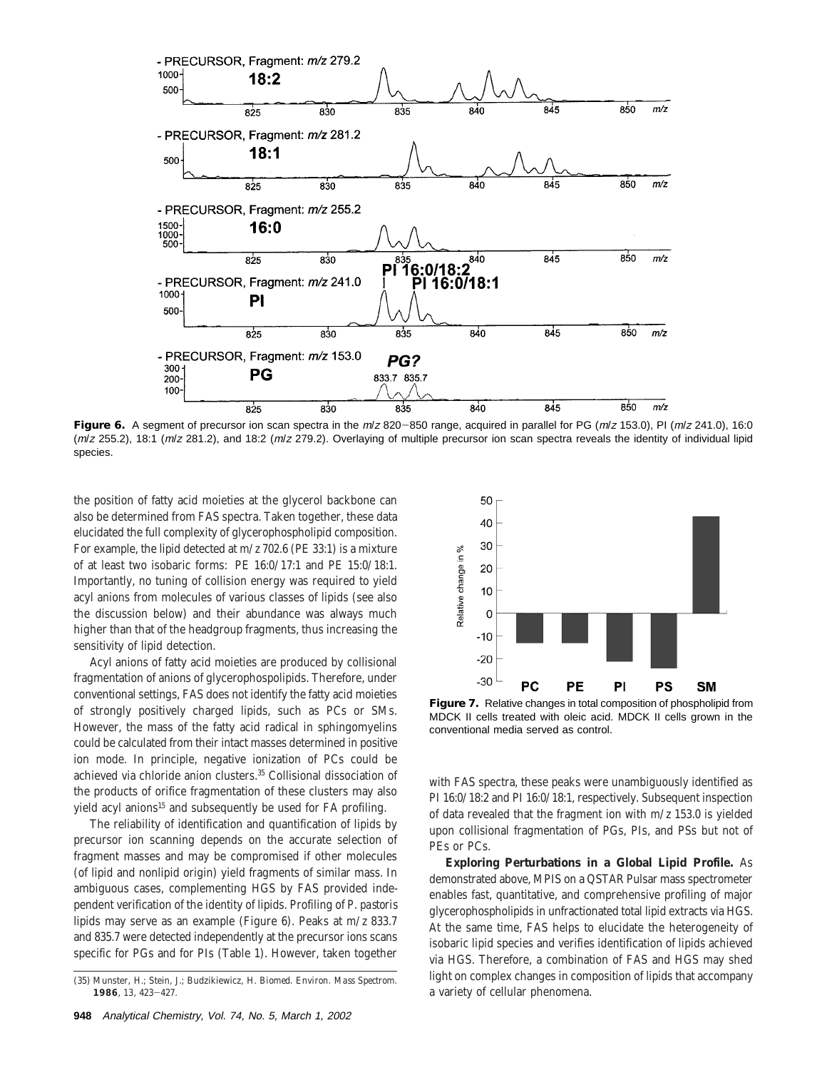

**Figure 6.** A segment of precursor ion scan spectra in the m/z 820–850 range, acquired in parallel for PG (m/z 153.0), PI (m/z 241.0), 16:0 (m/<sup>z</sup> 255.2), 18:1 (m/<sup>z</sup> 281.2), and 18:2 (m/<sup>z</sup> 279.2). Overlaying of multiple precursor ion scan spectra reveals the identity of individual lipid species.

50

the position of fatty acid moieties at the glycerol backbone can also be determined from FAS spectra. Taken together, these data elucidated the full complexity of glycerophospholipid composition. For example, the lipid detected at *m*/*z* 702.6 (PE 33:1) is a mixture of at least two isobaric forms: PE 16:0/17:1 and PE 15:0/18:1. Importantly, no tuning of collision energy was required to yield acyl anions from molecules of various classes of lipids (see also the discussion below) and their abundance was always much higher than that of the headgroup fragments, thus increasing the sensitivity of lipid detection.

Acyl anions of fatty acid moieties are produced by collisional fragmentation of anions of glycerophospolipids. Therefore, under conventional settings, FAS does not identify the fatty acid moieties of strongly positively charged lipids, such as PCs or SMs. However, the mass of the fatty acid radical in sphingomyelins could be calculated from their intact masses determined in positive ion mode. In principle, negative ionization of PCs could be achieved via chloride anion clusters.35 Collisional dissociation of the products of orifice fragmentation of these clusters may also yield acyl anions<sup>15</sup> and subsequently be used for FA profiling.

The reliability of identification and quantification of lipids by precursor ion scanning depends on the accurate selection of fragment masses and may be compromised if other molecules (of lipid and nonlipid origin) yield fragments of similar mass. In ambiguous cases, complementing HGS by FAS provided independent verification of the identity of lipids. Profiling of *P. pastoris* lipids may serve as an example (Figure 6). Peaks at *m*/*z* 833.7 and 835.7 were detected independently at the precursor ions scans specific for PGs and for PIs (Table 1). However, taken together

40 30 Relative change in % 20 10 0  $-10$  $-20$  $-30$ PC PE PI PS **SM** 

**Figure 7.** Relative changes in total composition of phospholipid from MDCK II cells treated with oleic acid. MDCK II cells grown in the conventional media served as control.

with FAS spectra, these peaks were unambiguously identified as PI 16:0/18:2 and PI 16:0/18:1, respectively. Subsequent inspection of data revealed that the fragment ion with *m*/*z* 153.0 is yielded upon collisional fragmentation of PGs, PIs, and PSs but not of PEs or PCs.

**Exploring Perturbations in a Global Lipid Profile.** As demonstrated above, MPIS on a QSTAR Pulsar mass spectrometer enables fast, quantitative, and comprehensive profiling of major glycerophospholipids in unfractionated total lipid extracts via HGS. At the same time, FAS helps to elucidate the heterogeneity of isobaric lipid species and verifies identification of lipids achieved via HGS. Therefore, a combination of FAS and HGS may shed light on complex changes in composition of lipids that accompany a variety of cellular phenomena.

<sup>(35)</sup> Munster, H.; Stein, J.; Budzikiewicz, H. *Biomed. Environ. Mass Spectrom.* **<sup>1986</sup>**, *<sup>13</sup>*, 423-427.